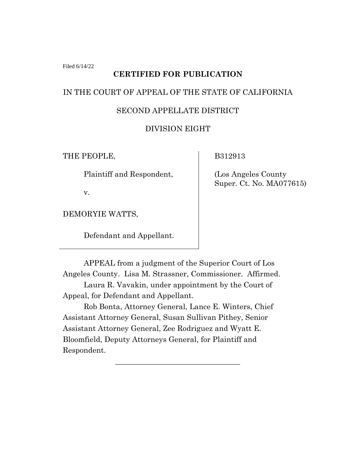Filed 6/14/22

### **CERTIFIED FOR PUBLICATION**

# IN THE COURT OF APPEAL OF THE STATE OF CALIFORNIA

# SECOND APPELLATE DISTRICT

## DIVISION EIGHT

THE PEOPLE,

Plaintiff and Respondent,

v.

DEMORYIE WATTS,

Defendant and Appellant.

B312913

(Los Angeles County Super. Ct. No. MA077615)

APPEAL from a judgment of the Superior Court of Los Angeles County. Lisa M. Strassner, Commissioner. Affirmed.

Laura R. Vavakin, under appointment by the Court of Appeal, for Defendant and Appellant.

Rob Bonta, Attorney General, Lance E. Winters, Chief Assistant Attorney General, Susan Sullivan Pithey, Senior Assistant Attorney General, Zee Rodriguez and Wyatt E. Bloomfield, Deputy Attorneys General, for Plaintiff and Respondent.

\_\_\_\_\_\_\_\_\_\_\_\_\_\_\_\_\_\_\_\_\_\_\_\_\_\_\_\_\_\_\_\_\_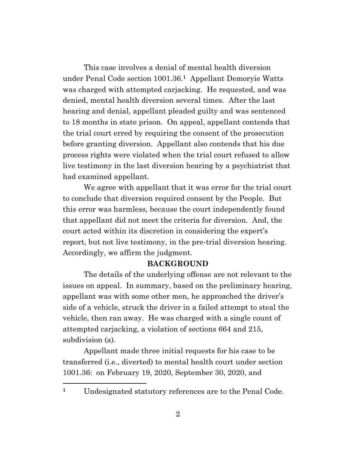This case involves a denial of mental health diversion under Penal Code section 1001.36.**1** Appellant Demoryie Watts was charged with attempted carjacking. He requested, and was denied, mental health diversion several times. After the last hearing and denial, appellant pleaded guilty and was sentenced to 18 months in state prison. On appeal, appellant contends that the trial court erred by requiring the consent of the prosecution before granting diversion. Appellant also contends that his due process rights were violated when the trial court refused to allow live testimony in the last diversion hearing by a psychiatrist that had examined appellant.

We agree with appellant that it was error for the trial court to conclude that diversion required consent by the People. But this error was harmless, because the court independently found that appellant did not meet the criteria for diversion. And, the court acted within its discretion in considering the expert's report, but not live testimony, in the pre-trial diversion hearing. Accordingly, we affirm the judgment.

#### **BACKGROUND**

The details of the underlying offense are not relevant to the issues on appeal. In summary, based on the preliminary hearing, appellant was with some other men, he approached the driver's side of a vehicle, struck the driver in a failed attempt to steal the vehicle, then ran away. He was charged with a single count of attempted carjacking, a violation of sections 664 and 215, subdivision (a).

Appellant made three initial requests for his case to be transferred (i.e., diverted) to mental health court under section 1001.36: on February 19, 2020, September 30, 2020, and

**<sup>1</sup>** Undesignated statutory references are to the Penal Code.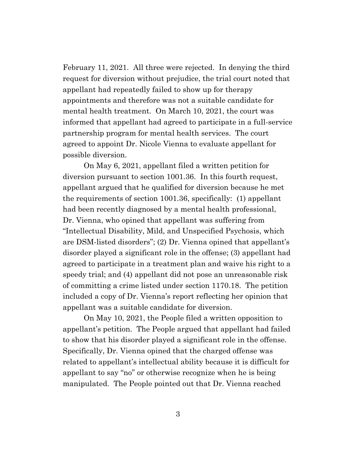February 11, 2021. All three were rejected. In denying the third request for diversion without prejudice, the trial court noted that appellant had repeatedly failed to show up for therapy appointments and therefore was not a suitable candidate for mental health treatment. On March 10, 2021, the court was informed that appellant had agreed to participate in a full-service partnership program for mental health services. The court agreed to appoint Dr. Nicole Vienna to evaluate appellant for possible diversion.

On May 6, 2021, appellant filed a written petition for diversion pursuant to section 1001.36. In this fourth request, appellant argued that he qualified for diversion because he met the requirements of section 1001.36, specifically: (1) appellant had been recently diagnosed by a mental health professional, Dr. Vienna, who opined that appellant was suffering from "Intellectual Disability, Mild, and Unspecified Psychosis, which are DSM-listed disorders"; (2) Dr. Vienna opined that appellant's disorder played a significant role in the offense; (3) appellant had agreed to participate in a treatment plan and waive his right to a speedy trial; and (4) appellant did not pose an unreasonable risk of committing a crime listed under section 1170.18. The petition included a copy of Dr. Vienna's report reflecting her opinion that appellant was a suitable candidate for diversion.

On May 10, 2021, the People filed a written opposition to appellant's petition. The People argued that appellant had failed to show that his disorder played a significant role in the offense. Specifically, Dr. Vienna opined that the charged offense was related to appellant's intellectual ability because it is difficult for appellant to say "no" or otherwise recognize when he is being manipulated. The People pointed out that Dr. Vienna reached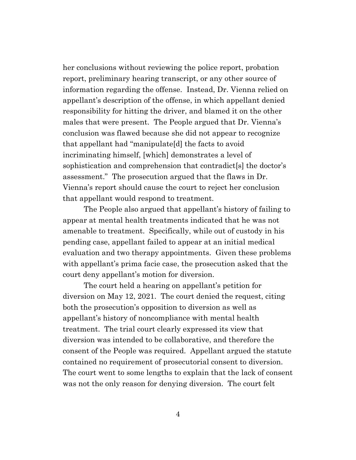her conclusions without reviewing the police report, probation report, preliminary hearing transcript, or any other source of information regarding the offense. Instead, Dr. Vienna relied on appellant's description of the offense, in which appellant denied responsibility for hitting the driver, and blamed it on the other males that were present. The People argued that Dr. Vienna's conclusion was flawed because she did not appear to recognize that appellant had "manipulate[d] the facts to avoid incriminating himself, [which] demonstrates a level of sophistication and comprehension that contradict[s] the doctor's assessment." The prosecution argued that the flaws in Dr. Vienna's report should cause the court to reject her conclusion that appellant would respond to treatment.

The People also argued that appellant's history of failing to appear at mental health treatments indicated that he was not amenable to treatment. Specifically, while out of custody in his pending case, appellant failed to appear at an initial medical evaluation and two therapy appointments. Given these problems with appellant's prima facie case, the prosecution asked that the court deny appellant's motion for diversion.

The court held a hearing on appellant's petition for diversion on May 12, 2021. The court denied the request, citing both the prosecution's opposition to diversion as well as appellant's history of noncompliance with mental health treatment. The trial court clearly expressed its view that diversion was intended to be collaborative, and therefore the consent of the People was required. Appellant argued the statute contained no requirement of prosecutorial consent to diversion. The court went to some lengths to explain that the lack of consent was not the only reason for denying diversion. The court felt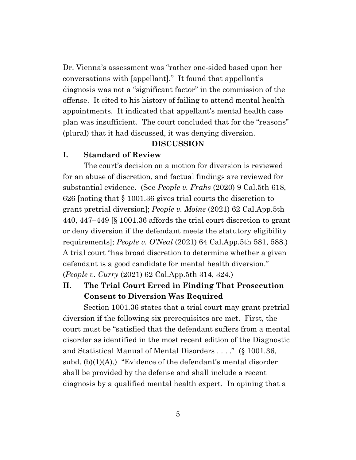Dr. Vienna's assessment was "rather one-sided based upon her conversations with [appellant]." It found that appellant's diagnosis was not a "significant factor" in the commission of the offense. It cited to his history of failing to attend mental health appointments. It indicated that appellant's mental health case plan was insufficient. The court concluded that for the "reasons" (plural) that it had discussed, it was denying diversion.

#### **DISCUSSION**

#### **I. Standard of Review**

The court's decision on a motion for diversion is reviewed for an abuse of discretion, and factual findings are reviewed for substantial evidence. (See *People v. Frahs* (2020) 9 Cal.5th 618, 626 [noting that § 1001.36 gives trial courts the discretion to grant pretrial diversion]; *People v. Moine* (2021) 62 Cal.App.5th 440, 447–449 [§ 1001.36 affords the trial court discretion to grant or deny diversion if the defendant meets the statutory eligibility requirements]; *People v. O'Neal* (2021) 64 Cal.App.5th 581, 588.) A trial court "has broad discretion to determine whether a given defendant is a good candidate for mental health diversion." (*People v. Curry* (2021) 62 Cal.App.5th 314, 324.)

## **II. The Trial Court Erred in Finding That Prosecution Consent to Diversion Was Required**

Section 1001.36 states that a trial court may grant pretrial diversion if the following six prerequisites are met. First, the court must be "satisfied that the defendant suffers from a mental disorder as identified in the most recent edition of the Diagnostic and Statistical Manual of Mental Disorders . . . ." (§ 1001.36, subd. (b)(1)(A).) "Evidence of the defendant's mental disorder shall be provided by the defense and shall include a recent diagnosis by a qualified mental health expert. In opining that a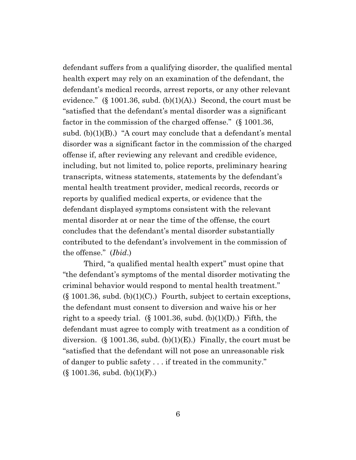defendant suffers from a qualifying disorder, the qualified mental health expert may rely on an examination of the defendant, the defendant's medical records, arrest reports, or any other relevant evidence." (§ 1001.36, subd.  $(b)(1)(A)$ .) Second, the court must be "satisfied that the defendant's mental disorder was a significant factor in the commission of the charged offense." (§ 1001.36, subd.  $(b)(1)(B)$ .) "A court may conclude that a defendant's mental disorder was a significant factor in the commission of the charged offense if, after reviewing any relevant and credible evidence, including, but not limited to, police reports, preliminary hearing transcripts, witness statements, statements by the defendant's mental health treatment provider, medical records, records or reports by qualified medical experts, or evidence that the defendant displayed symptoms consistent with the relevant mental disorder at or near the time of the offense, the court concludes that the defendant's mental disorder substantially contributed to the defendant's involvement in the commission of the offense." (*Ibid*.)

Third, "a qualified mental health expert" must opine that "the defendant's symptoms of the mental disorder motivating the criminal behavior would respond to mental health treatment."  $(\S 1001.36, \text{subd. (b)}(1)(C))$ . Fourth, subject to certain exceptions, the defendant must consent to diversion and waive his or her right to a speedy trial. (§ 1001.36, subd. (b)(1)(D).) Fifth, the defendant must agree to comply with treatment as a condition of diversion. (§ 1001.36, subd.  $(b)(1)(E)$ .) Finally, the court must be "satisfied that the defendant will not pose an unreasonable risk of danger to public safety . . . if treated in the community."  $(\S 1001.36, \text{subd. (b)}(1)(F))$ .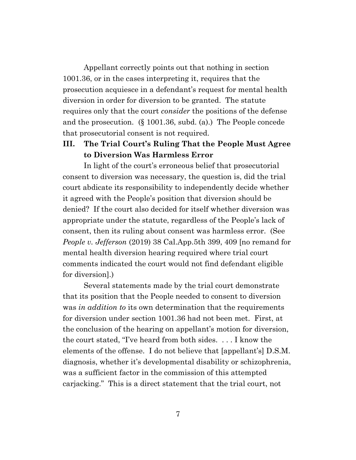Appellant correctly points out that nothing in section 1001.36, or in the cases interpreting it, requires that the prosecution acquiesce in a defendant's request for mental health diversion in order for diversion to be granted. The statute requires only that the court *consider* the positions of the defense and the prosecution. (§ 1001.36, subd. (a).) The People concede that prosecutorial consent is not required.

## **III. The Trial Court's Ruling That the People Must Agree to Diversion Was Harmless Error**

In light of the court's erroneous belief that prosecutorial consent to diversion was necessary, the question is, did the trial court abdicate its responsibility to independently decide whether it agreed with the People's position that diversion should be denied? If the court also decided for itself whether diversion was appropriate under the statute, regardless of the People's lack of consent, then its ruling about consent was harmless error. (See *People v. Jefferson* (2019) 38 Cal.App.5th 399, 409 [no remand for mental health diversion hearing required where trial court comments indicated the court would not find defendant eligible for diversion].)

Several statements made by the trial court demonstrate that its position that the People needed to consent to diversion was *in addition to* its own determination that the requirements for diversion under section 1001.36 had not been met. First, at the conclusion of the hearing on appellant's motion for diversion, the court stated, "I've heard from both sides. . . . I know the elements of the offense. I do not believe that [appellant's] D.S.M. diagnosis, whether it's developmental disability or schizophrenia, was a sufficient factor in the commission of this attempted carjacking." This is a direct statement that the trial court, not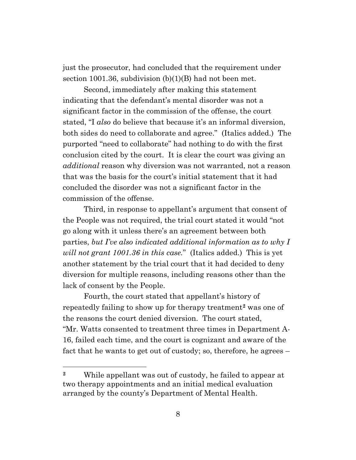just the prosecutor, had concluded that the requirement under section 1001.36, subdivision (b)(1)(B) had not been met.

Second, immediately after making this statement indicating that the defendant's mental disorder was not a significant factor in the commission of the offense, the court stated, "I *also* do believe that because it's an informal diversion, both sides do need to collaborate and agree." (Italics added.) The purported "need to collaborate" had nothing to do with the first conclusion cited by the court. It is clear the court was giving an *additional* reason why diversion was not warranted, not a reason that was the basis for the court's initial statement that it had concluded the disorder was not a significant factor in the commission of the offense.

Third, in response to appellant's argument that consent of the People was not required, the trial court stated it would "not go along with it unless there's an agreement between both parties, *but I've also indicated additional information as to why I will not grant 1001.36 in this case.*" (Italics added.) This is yet another statement by the trial court that it had decided to deny diversion for multiple reasons, including reasons other than the lack of consent by the People.

Fourth, the court stated that appellant's history of repeatedly failing to show up for therapy treatment**<sup>2</sup>** was one of the reasons the court denied diversion. The court stated, "Mr. Watts consented to treatment three times in Department A-16, failed each time, and the court is cognizant and aware of the fact that he wants to get out of custody; so, therefore, he agrees –

**<sup>2</sup>** While appellant was out of custody, he failed to appear at two therapy appointments and an initial medical evaluation arranged by the county's Department of Mental Health.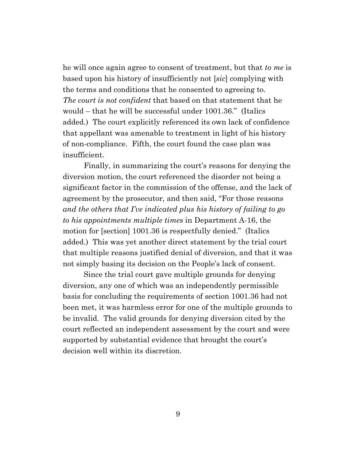he will once again agree to consent of treatment, but that *to me* is based upon his history of insufficiently not [*sic*] complying with the terms and conditions that he consented to agreeing to. *The court is not confident* that based on that statement that he would – that he will be successful under 1001.36." (Italics added.) The court explicitly referenced its own lack of confidence that appellant was amenable to treatment in light of his history of non-compliance. Fifth, the court found the case plan was insufficient.

Finally, in summarizing the court's reasons for denying the diversion motion, the court referenced the disorder not being a significant factor in the commission of the offense, and the lack of agreement by the prosecutor, and then said, "For those reasons *and the others that I've indicated plus his history of failing to go to his appointments multiple times* in Department A-16, the motion for [section] 1001.36 is respectfully denied." (Italics added.) This was yet another direct statement by the trial court that multiple reasons justified denial of diversion, and that it was not simply basing its decision on the People's lack of consent.

Since the trial court gave multiple grounds for denying diversion, any one of which was an independently permissible basis for concluding the requirements of section 1001.36 had not been met, it was harmless error for one of the multiple grounds to be invalid. The valid grounds for denying diversion cited by the court reflected an independent assessment by the court and were supported by substantial evidence that brought the court's decision well within its discretion.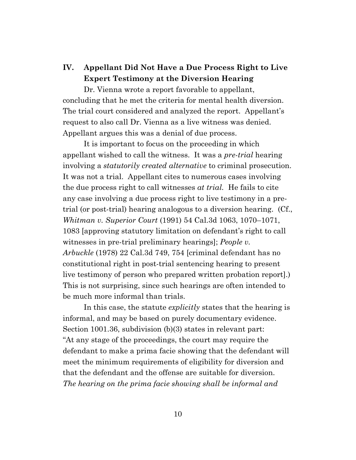# **IV. Appellant Did Not Have a Due Process Right to Live Expert Testimony at the Diversion Hearing**

Dr. Vienna wrote a report favorable to appellant, concluding that he met the criteria for mental health diversion. The trial court considered and analyzed the report. Appellant's request to also call Dr. Vienna as a live witness was denied. Appellant argues this was a denial of due process.

It is important to focus on the proceeding in which appellant wished to call the witness. It was a *pre-trial* hearing involving a *statutorily created alternative* to criminal prosecution. It was not a trial. Appellant cites to numerous cases involving the due process right to call witnesses *at trial.* He fails to cite any case involving a due process right to live testimony in a pretrial (or post-trial) hearing analogous to a diversion hearing. (Cf., *Whitman v. Superior Court* (1991) 54 Cal.3d 1063, 1070–1071, 1083 [approving statutory limitation on defendant's right to call witnesses in pre-trial preliminary hearings]; *People v. Arbuckle* (1978) 22 Cal.3d 749, 754 [criminal defendant has no constitutional right in post-trial sentencing hearing to present live testimony of person who prepared written probation report].) This is not surprising, since such hearings are often intended to be much more informal than trials.

In this case, the statute *explicitly* states that the hearing is informal, and may be based on purely documentary evidence. Section 1001.36, subdivision (b)(3) states in relevant part: "At any stage of the proceedings, the court may require the defendant to make a prima facie showing that the defendant will meet the minimum requirements of eligibility for diversion and that the defendant and the offense are suitable for diversion. *The hearing on the prima facie showing shall be informal and*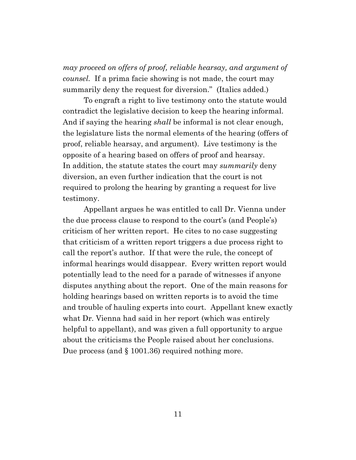*may proceed on offers of proof, reliable hearsay, and argument of counsel.* If a prima facie showing is not made, the court may summarily deny the request for diversion." (Italics added.)

To engraft a right to live testimony onto the statute would contradict the legislative decision to keep the hearing informal. And if saying the hearing *shall* be informal is not clear enough, the legislature lists the normal elements of the hearing (offers of proof, reliable hearsay, and argument). Live testimony is the opposite of a hearing based on offers of proof and hearsay. In addition, the statute states the court may *summarily* deny diversion, an even further indication that the court is not required to prolong the hearing by granting a request for live testimony.

Appellant argues he was entitled to call Dr. Vienna under the due process clause to respond to the court's (and People's) criticism of her written report. He cites to no case suggesting that criticism of a written report triggers a due process right to call the report's author. If that were the rule, the concept of informal hearings would disappear. Every written report would potentially lead to the need for a parade of witnesses if anyone disputes anything about the report. One of the main reasons for holding hearings based on written reports is to avoid the time and trouble of hauling experts into court. Appellant knew exactly what Dr. Vienna had said in her report (which was entirely helpful to appellant), and was given a full opportunity to argue about the criticisms the People raised about her conclusions. Due process (and § 1001.36) required nothing more.